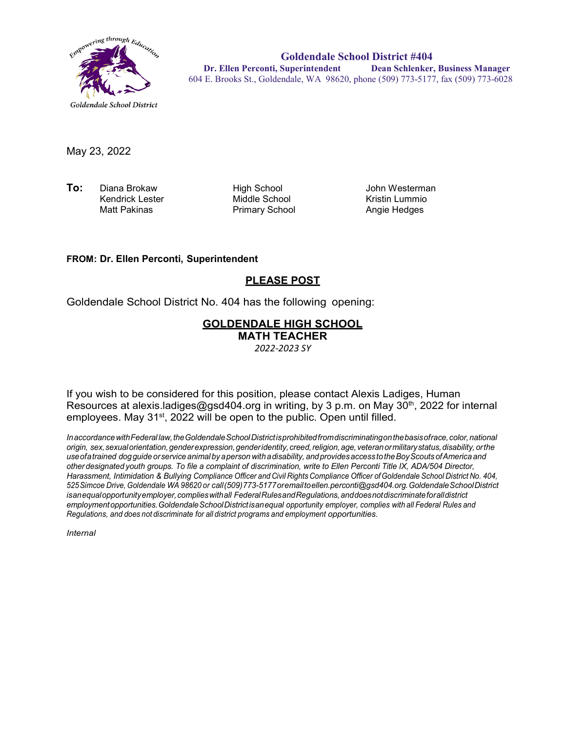

**Goldendale School District #404 Dr. Ellen Perconti, Superintendent Dean Schlenker, Business Manager** 604 E. Brooks St., Goldendale, WA 98620, phone (509) 773-5177, fax (509) 773-6028

May 23, 2022

**To:** Diana Brokaw High School John Westerman Kendrick Lester Middle School Kristin Lummio

Primary School

## **FROM: Dr. Ellen Perconti, Superintendent**

## **PLEASE POST**

Goldendale School District No. 404 has the following opening:

## **GOLDENDALE HIGH SCHOOL MATH TEACHER**

*2022-2023 SY*

If you wish to be considered for this position, please contact Alexis Ladiges, Human Resources at alexis.ladiges@gsd404.org in writing, by 3 p.m. on May 30<sup>th</sup>, 2022 for internal employees. May 31<sup>st</sup>, 2022 will be open to the public. Open until filled.

*InaccordancewithFederal law,theGoldendaleSchoolDistrictisprohibitedfromdiscriminatingonthebasisofrace,color,national origin, sex,sexualorientation,genderexpression,genderidentity, creed,religion,age, veteranormilitarystatus,disability, orthe useofatrained dogguide orservice animal by aperson withadisability, andprovidesaccess totheBoyScouts ofAmerica and other designated youth groups. To file a complaint of discrimination, write to Ellen Perconti Title IX, ADA/504 Director, Harassment, Intimidation & Bullying Compliance Officer and Civil Rights Compliance Officer ofGoldendale School District No. 404, 525Simcoe Drive, Goldendale WA 98620 or call(509)773-5177oremailt[oellen.perconti@gsd404.org.G](mailto:ellen.perconti@gsd404.org)oldendaleSchoolDistrict isanequalopportunityemployer,complieswithall FederalRulesandRegulations,anddoesnotdiscriminateforalldistrict employmentopportunities.GoldendaleSchoolDistrictisanequal opportunity employer, complies with all Federal Rules and Regulations, and does not discriminate for all district programs and employment opportunities.*

*Internal*